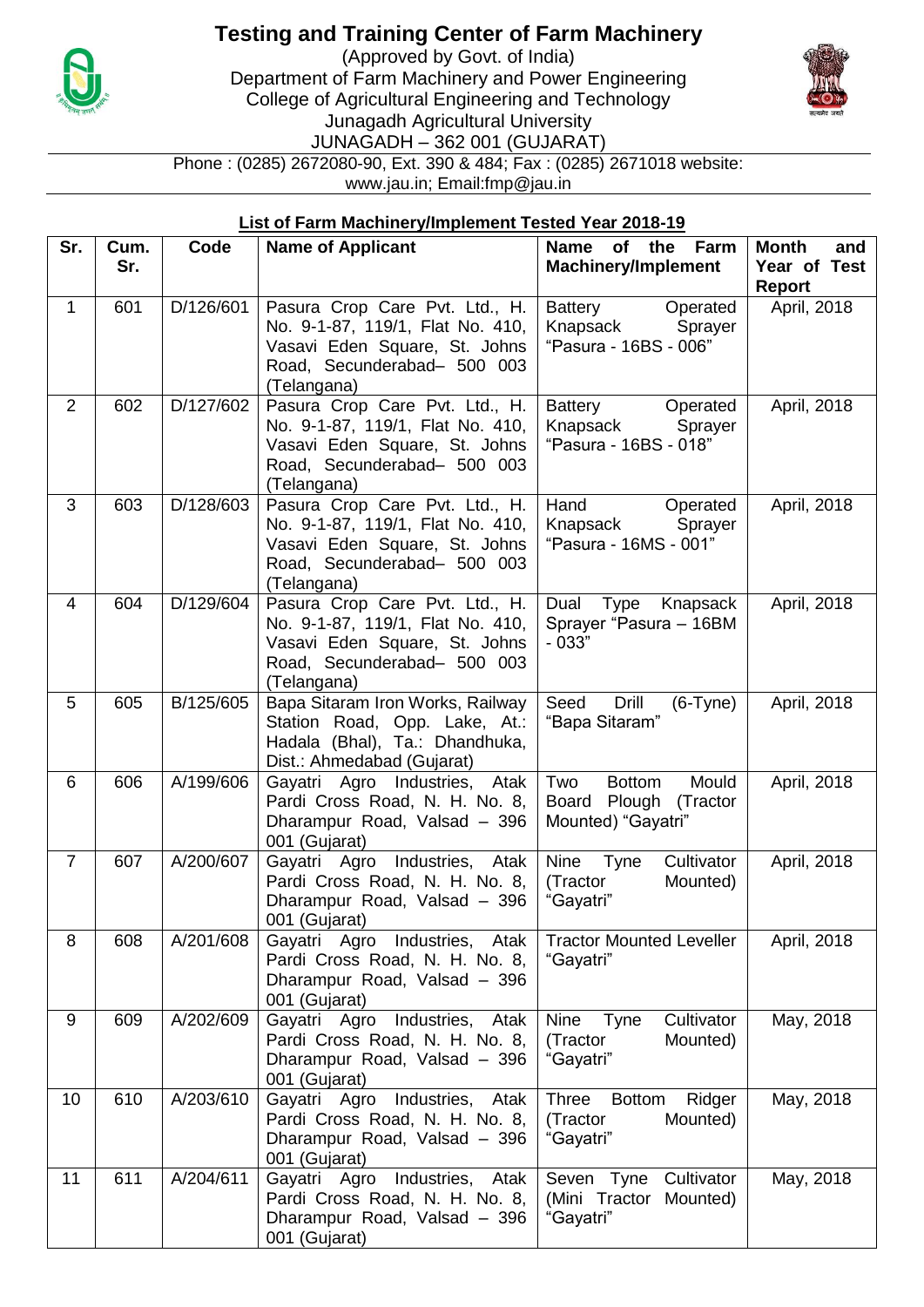

## **Testing and Training Center of Farm Machinery**

(Approved by Govt. of India) Department of Farm Machinery and Power Engineering College of Agricultural Engineering and Technology Junagadh Agricultural University JUNAGADH – 362 001 (GUJARAT)



Phone : (0285) 2672080-90, Ext. 390 & 484; Fax : (0285) 2671018 website: www.jau.in; Email:fmp@jau.in

## **List of Farm Machinery/Implement Tested Year 2018-19**

| Sr.            | Cum.<br>Sr. | Code      | <b>Name of Applicant</b>                                                                                                                          | Farm<br>of the<br><b>Name</b><br><b>Machinery/Implement</b>                  | <b>Month</b><br>and<br>Year of Test<br><b>Report</b> |
|----------------|-------------|-----------|---------------------------------------------------------------------------------------------------------------------------------------------------|------------------------------------------------------------------------------|------------------------------------------------------|
| $\mathbf{1}$   | 601         | D/126/601 | Pasura Crop Care Pvt. Ltd., H.<br>No. 9-1-87, 119/1, Flat No. 410,<br>Vasavi Eden Square, St. Johns<br>Road, Secunderabad- 500 003<br>(Telangana) | Battery<br>Operated<br>Knapsack<br>Sprayer<br>"Pasura - 16BS - 006"          | April, 2018                                          |
| 2              | 602         | D/127/602 | Pasura Crop Care Pvt. Ltd., H.<br>No. 9-1-87, 119/1, Flat No. 410,<br>Vasavi Eden Square, St. Johns<br>Road, Secunderabad- 500 003<br>(Telangana) | Battery<br>Operated<br>Knapsack<br>Sprayer<br>"Pasura - 16BS - 018"          | April, 2018                                          |
| 3              | 603         | D/128/603 | Pasura Crop Care Pvt. Ltd., H.<br>No. 9-1-87, 119/1, Flat No. 410,<br>Vasavi Eden Square, St. Johns<br>Road, Secunderabad- 500 003<br>(Telangana) | Hand<br>Operated<br>Knapsack<br>Sprayer<br>"Pasura - 16MS - 001"             | April, 2018                                          |
| $\overline{4}$ | 604         | D/129/604 | Pasura Crop Care Pvt. Ltd., H.<br>No. 9-1-87, 119/1, Flat No. 410,<br>Vasavi Eden Square, St. Johns<br>Road, Secunderabad- 500 003<br>(Telangana) | Dual Type Knapsack<br>Sprayer "Pasura - 16BM<br>$-033"$                      | April, 2018                                          |
| 5              | 605         | B/125/605 | Bapa Sitaram Iron Works, Railway<br>Station Road, Opp. Lake, At.:<br>Hadala (Bhal), Ta.: Dhandhuka,<br>Dist.: Ahmedabad (Gujarat)                 | Drill<br>Seed<br>$(6-Tyne)$<br>"Bapa Sitaram"                                | April, 2018                                          |
| 6              | 606         | A/199/606 | Gayatri Agro Industries, Atak<br>Pardi Cross Road, N. H. No. 8,<br>Dharampur Road, Valsad - 396<br>001 (Gujarat)                                  | Two<br>Mould<br><b>Bottom</b><br>Board Plough (Tractor<br>Mounted) "Gayatri" | April, 2018                                          |
| $\overline{7}$ | 607         | A/200/607 | Gayatri Agro Industries, Atak<br>Pardi Cross Road, N. H. No. 8,<br>Dharampur Road, Valsad - 396<br>001 (Gujarat)                                  | Nine<br>Tyne<br>Cultivator<br>(Tractor<br>Mounted)<br>"Gayatri"              | April, 2018                                          |
| 8              | 608         | A/201/608 | Gayatri Agro Industries, Atak<br>Pardi Cross Road, N. H. No. 8,<br>Dharampur Road, Valsad - 396<br>001 (Gujarat)                                  | <b>Tractor Mounted Leveller</b><br>"Gayatri"                                 | April, 2018                                          |
| 9              | 609         | A/202/609 | Gayatri Agro<br>Industries,<br>Atak<br>Pardi Cross Road, N. H. No. 8,<br>Dharampur Road, Valsad - 396<br>001 (Gujarat)                            | Cultivator<br>Nine<br>Tyne<br>(Tractor<br>Mounted)<br>"Gayatri"              | May, 2018                                            |
| 10             | 610         | A/203/610 | Gayatri Agro<br>Industries, Atak<br>Pardi Cross Road, N. H. No. 8,<br>Dharampur Road, Valsad - 396<br>001 (Gujarat)                               | Ridger<br><b>Three</b><br><b>Bottom</b><br>(Tractor<br>Mounted)<br>"Gayatri" | May, 2018                                            |
| 11             | 611         | A/204/611 | Gayatri Agro<br>Industries,<br>Atak<br>Pardi Cross Road, N. H. No. 8,<br>Dharampur Road, Valsad - 396<br>001 (Gujarat)                            | Cultivator<br>Seven Tyne<br>(Mini Tractor<br>Mounted)<br>"Gayatri"           | May, 2018                                            |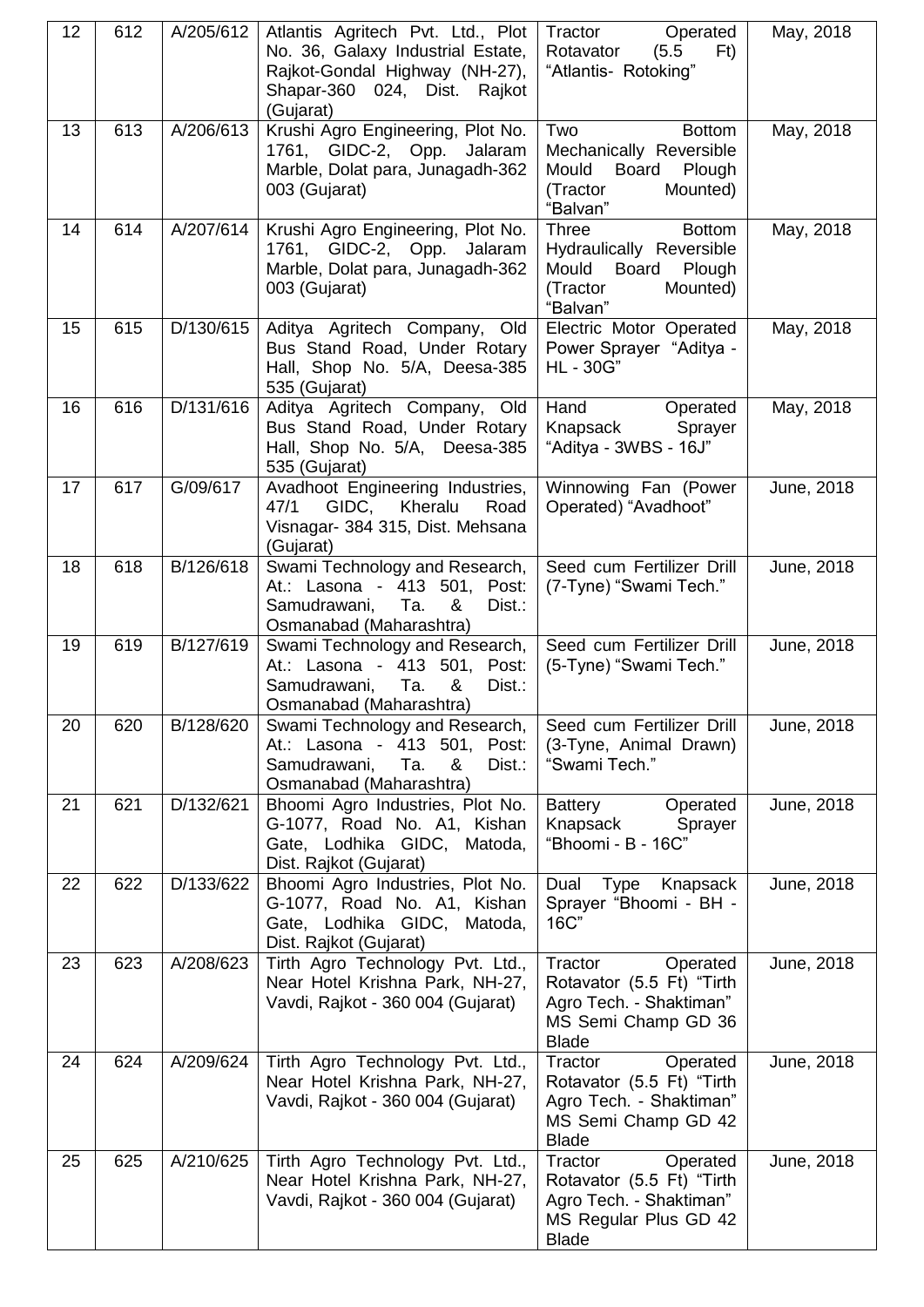| 12 | 612 | A/205/612 | Atlantis Agritech Pvt. Ltd., Plot<br>No. 36, Galaxy Industrial Estate,<br>Rajkot-Gondal Highway (NH-27),<br>Shapar-360 024, Dist. Rajkot<br>(Gujarat) | Tractor<br>Operated<br>F <sub>t</sub><br>Rotavator<br>(5.5)<br>"Atlantis- Rotoking"                                  | May, 2018  |
|----|-----|-----------|-------------------------------------------------------------------------------------------------------------------------------------------------------|----------------------------------------------------------------------------------------------------------------------|------------|
| 13 | 613 | A/206/613 | Krushi Agro Engineering, Plot No.<br>1761, GIDC-2, Opp. Jalaram<br>Marble, Dolat para, Junagadh-362<br>003 (Gujarat)                                  | Two<br><b>Bottom</b><br>Mechanically Reversible<br>Mould<br>Board Plough<br>(Tractor<br>Mounted)<br>"Balvan"         | May, 2018  |
| 14 | 614 | A/207/614 | Krushi Agro Engineering, Plot No.<br>1761, GIDC-2, Opp. Jalaram<br>Marble, Dolat para, Junagadh-362<br>003 (Gujarat)                                  | <b>Bottom</b><br>Three<br>Hydraulically Reversible<br>Mould<br>Board<br>Plough<br>(Tractor<br>Mounted)<br>"Balvan"   | May, 2018  |
| 15 | 615 | D/130/615 | Aditya Agritech Company, Old<br>Bus Stand Road, Under Rotary<br>Hall, Shop No. 5/A, Deesa-385<br>535 (Gujarat)                                        | Electric Motor Operated<br>Power Sprayer "Aditya -<br>HL - 30G"                                                      | May, 2018  |
| 16 | 616 | D/131/616 | Aditya Agritech Company, Old<br>Bus Stand Road, Under Rotary<br>Hall, Shop No. 5/A, Deesa-385<br>535 (Gujarat)                                        | Hand<br>Operated<br>Knapsack<br>Sprayer<br>"Aditya - 3WBS - 16J"                                                     | May, 2018  |
| 17 | 617 | G/09/617  | Avadhoot Engineering Industries,<br>47/1<br>GIDC,<br>Kheralu<br>Road<br>Visnagar- 384 315, Dist. Mehsana<br>(Gujarat)                                 | Winnowing Fan (Power<br>Operated) "Avadhoot"                                                                         | June, 2018 |
| 18 | 618 | B/126/618 | Swami Technology and Research,<br>At.: Lasona - 413 501, Post:<br>Samudrawani, Ta.<br>&<br>Dist.:<br>Osmanabad (Maharashtra)                          | Seed cum Fertilizer Drill<br>(7-Tyne) "Swami Tech."                                                                  | June, 2018 |
| 19 | 619 | B/127/619 | Swami Technology and Research,<br>At.: Lasona - 413 501, Post:<br>&<br>Samudrawani,<br>Ta.<br>Dist.:<br>Osmanabad (Maharashtra)                       | Seed cum Fertilizer Drill<br>(5-Tyne) "Swami Tech."                                                                  | June, 2018 |
| 20 | 620 | B/128/620 | Swami Technology and Research,<br>At.: Lasona - 413 501, Post:<br>Samudrawani,<br>Ta.<br>&<br>Dist.:<br>Osmanabad (Maharashtra)                       | Seed cum Fertilizer Drill<br>(3-Tyne, Animal Drawn)<br>"Swami Tech."                                                 | June, 2018 |
| 21 | 621 | D/132/621 | Bhoomi Agro Industries, Plot No.<br>G-1077, Road No. A1, Kishan<br>Gate, Lodhika GIDC, Matoda,<br>Dist. Rajkot (Gujarat)                              | <b>Battery</b><br>Operated<br>Knapsack<br>Sprayer<br>"Bhoomi - B - 16C"                                              | June, 2018 |
| 22 | 622 | D/133/622 | Bhoomi Agro Industries, Plot No.<br>G-1077, Road No. A1, Kishan<br>Gate, Lodhika GIDC, Matoda,<br>Dist. Rajkot (Gujarat)                              | Dual Type Knapsack<br>Sprayer "Bhoomi - BH -<br>16C"                                                                 | June, 2018 |
| 23 | 623 | A/208/623 | Tirth Agro Technology Pvt. Ltd.,<br>Near Hotel Krishna Park, NH-27,<br>Vavdi, Rajkot - 360 004 (Gujarat)                                              | Tractor<br>Operated<br>Rotavator (5.5 Ft) "Tirth<br>Agro Tech. - Shaktiman"<br>MS Semi Champ GD 36<br><b>Blade</b>   | June, 2018 |
| 24 | 624 | A/209/624 | Tirth Agro Technology Pvt. Ltd.,<br>Near Hotel Krishna Park, NH-27,<br>Vavdi, Rajkot - 360 004 (Gujarat)                                              | Tractor<br>Operated<br>Rotavator (5.5 Ft) "Tirth<br>Agro Tech. - Shaktiman"<br>MS Semi Champ GD 42<br><b>Blade</b>   | June, 2018 |
| 25 | 625 | A/210/625 | Tirth Agro Technology Pvt. Ltd.,<br>Near Hotel Krishna Park, NH-27,<br>Vavdi, Rajkot - 360 004 (Gujarat)                                              | Tractor<br>Operated<br>Rotavator (5.5 Ft) "Tirth<br>Agro Tech. - Shaktiman"<br>MS Regular Plus GD 42<br><b>Blade</b> | June, 2018 |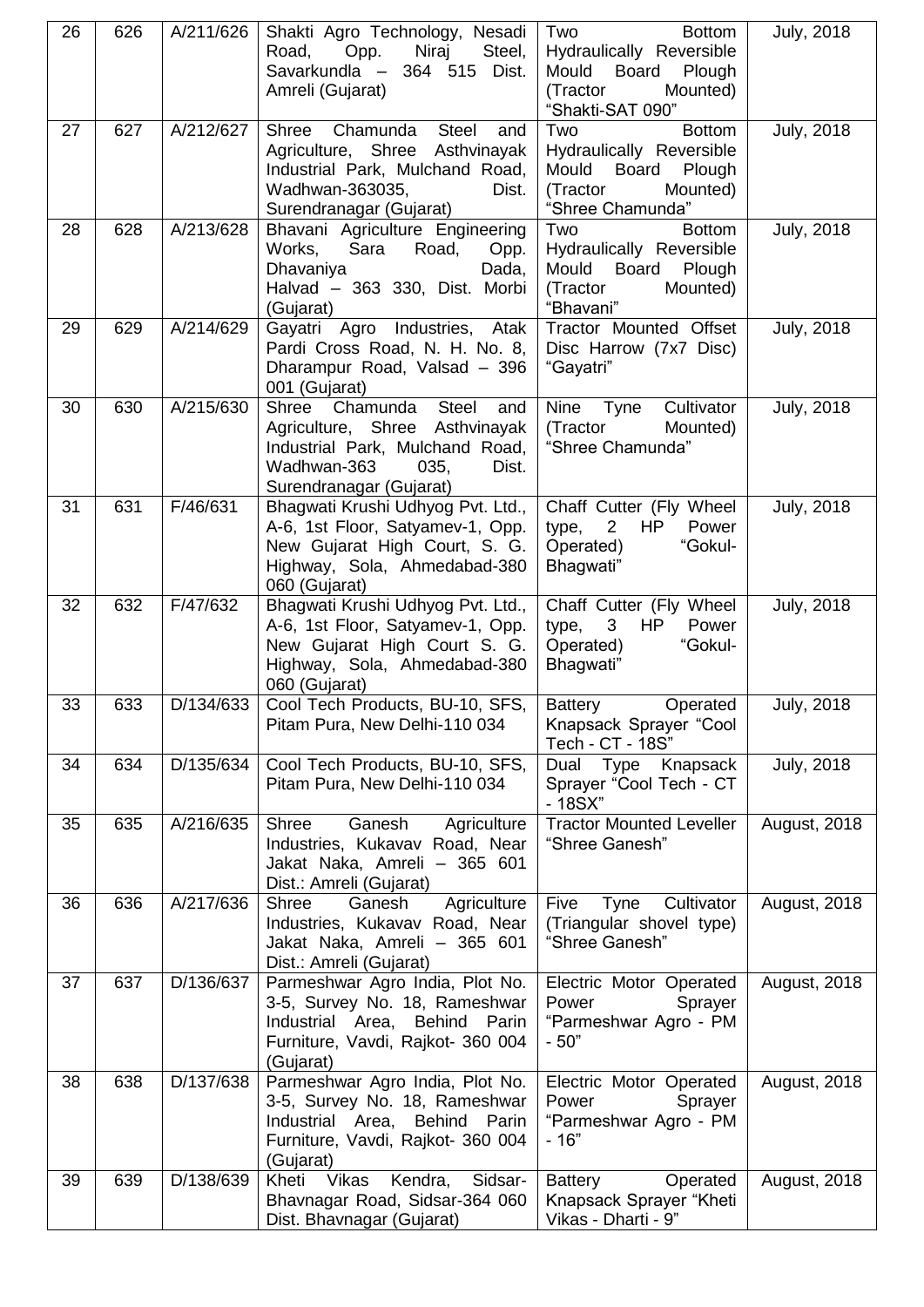| 26 | 626 | A/211/626 | Shakti Agro Technology, Nesadi<br>Niraj<br>Steel,<br>Road,<br>Opp.<br>Savarkundla - 364 515 Dist.<br>Amreli (Gujarat)                                                 | Two<br><b>Bottom</b><br>Hydraulically Reversible<br>Mould Board<br>Plough<br>(Tractor<br>Mounted)<br>"Shakti-SAT 090" | <b>July, 2018</b>   |
|----|-----|-----------|-----------------------------------------------------------------------------------------------------------------------------------------------------------------------|-----------------------------------------------------------------------------------------------------------------------|---------------------|
| 27 | 627 | A/212/627 | Shree Chamunda Steel<br>and<br>Agriculture, Shree Asthvinayak<br>Industrial Park, Mulchand Road,<br>Wadhwan-363035,<br>Dist.<br>Surendranagar (Gujarat)               | Two<br><b>Bottom</b><br>Hydraulically Reversible<br>Mould Board<br>Plough<br>(Tractor<br>Mounted)<br>"Shree Chamunda" | <b>July, 2018</b>   |
| 28 | 628 | A/213/628 | Bhavani Agriculture Engineering<br>Works,<br>Sara<br>Road,<br>Opp.<br>Dhavaniya<br>Dada,<br>Halvad - 363 330, Dist. Morbi<br>(Gujarat)                                | Two<br><b>Bottom</b><br>Hydraulically Reversible<br>Mould<br>Board<br>Plough<br>Mounted)<br>(Tractor<br>"Bhavani"     | <b>July, 2018</b>   |
| 29 | 629 | A/214/629 | Gayatri Agro Industries, Atak<br>Pardi Cross Road, N. H. No. 8,<br>Dharampur Road, Valsad - 396<br>001 (Gujarat)                                                      | Tractor Mounted Offset<br>Disc Harrow (7x7 Disc)<br>"Gayatri"                                                         | <b>July, 2018</b>   |
| 30 | 630 | A/215/630 | Shree Chamunda<br><b>Steel</b><br>and<br>Agriculture, Shree Asthvinayak<br>Industrial Park, Mulchand Road,<br>Wadhwan-363<br>035,<br>Dist.<br>Surendranagar (Gujarat) | Nine Tyne<br>Cultivator<br>(Tractor<br>Mounted)<br>"Shree Chamunda"                                                   | <b>July, 2018</b>   |
| 31 | 631 | F/46/631  | Bhagwati Krushi Udhyog Pvt. Ltd.,<br>A-6, 1st Floor, Satyamev-1, Opp.<br>New Gujarat High Court, S. G.<br>Highway, Sola, Ahmedabad-380<br>060 (Gujarat)               | Chaff Cutter (Fly Wheel<br>type,<br>$\overline{2}$<br>HP<br>Power<br>Operated)<br>"Gokul-<br>Bhagwati"                | <b>July, 2018</b>   |
| 32 | 632 | F/47/632  | Bhagwati Krushi Udhyog Pvt. Ltd.,<br>A-6, 1st Floor, Satyamev-1, Opp.<br>New Gujarat High Court S. G.<br>Highway, Sola, Ahmedabad-380<br>060 (Gujarat)                | Chaff Cutter (Fly Wheel<br>$\mathbf{3}$<br>type,<br>HP<br>Power<br>"Gokul-<br>Operated)<br>Bhagwati"                  | <b>July, 2018</b>   |
| 33 | 633 | D/134/633 | Cool Tech Products, BU-10, SFS,<br>Pitam Pura, New Delhi-110 034                                                                                                      | <b>Battery</b><br>Operated<br>Knapsack Sprayer "Cool<br>Tech - CT - 18S"                                              | <b>July, 2018</b>   |
| 34 | 634 | D/135/634 | Cool Tech Products, BU-10, SFS,<br>Pitam Pura, New Delhi-110 034                                                                                                      | Dual Type Knapsack<br>Sprayer "Cool Tech - CT<br>- 18SX"                                                              | <b>July, 2018</b>   |
| 35 | 635 | A/216/635 | Shree<br>Ganesh<br>Agriculture<br>Industries, Kukavav Road, Near<br>Jakat Naka, Amreli - 365 601<br>Dist.: Amreli (Gujarat)                                           | <b>Tractor Mounted Leveller</b><br>"Shree Ganesh"                                                                     | <b>August, 2018</b> |
| 36 | 636 | A/217/636 | Ganesh<br>Agriculture<br>Shree<br>Industries, Kukavav Road, Near<br>Jakat Naka, Amreli - 365 601<br>Dist.: Amreli (Gujarat)                                           | Cultivator<br>Five<br>Tyne<br>(Triangular shovel type)<br>"Shree Ganesh"                                              | <b>August, 2018</b> |
| 37 | 637 | D/136/637 | Parmeshwar Agro India, Plot No.<br>3-5, Survey No. 18, Rameshwar<br>Industrial Area, Behind<br>Parin<br>Furniture, Vavdi, Rajkot- 360 004<br>(Gujarat)                | Electric Motor Operated<br>Power<br>Sprayer<br>"Parmeshwar Agro - PM<br>$-50"$                                        | <b>August, 2018</b> |
| 38 | 638 | D/137/638 | Parmeshwar Agro India, Plot No.<br>3-5, Survey No. 18, Rameshwar<br>Industrial Area, Behind Parin<br>Furniture, Vavdi, Rajkot- 360 004<br>(Gujarat)                   | Electric Motor Operated<br>Power<br>Sprayer<br>"Parmeshwar Agro - PM<br>$-16"$                                        | <b>August, 2018</b> |
| 39 | 639 | D/138/639 | Kheti<br>Vikas<br>Kendra,<br>Sidsar-<br>Bhavnagar Road, Sidsar-364 060<br>Dist. Bhavnagar (Gujarat)                                                                   | Operated<br>Battery<br>Knapsack Sprayer "Kheti<br>Vikas - Dharti - 9"                                                 | <b>August, 2018</b> |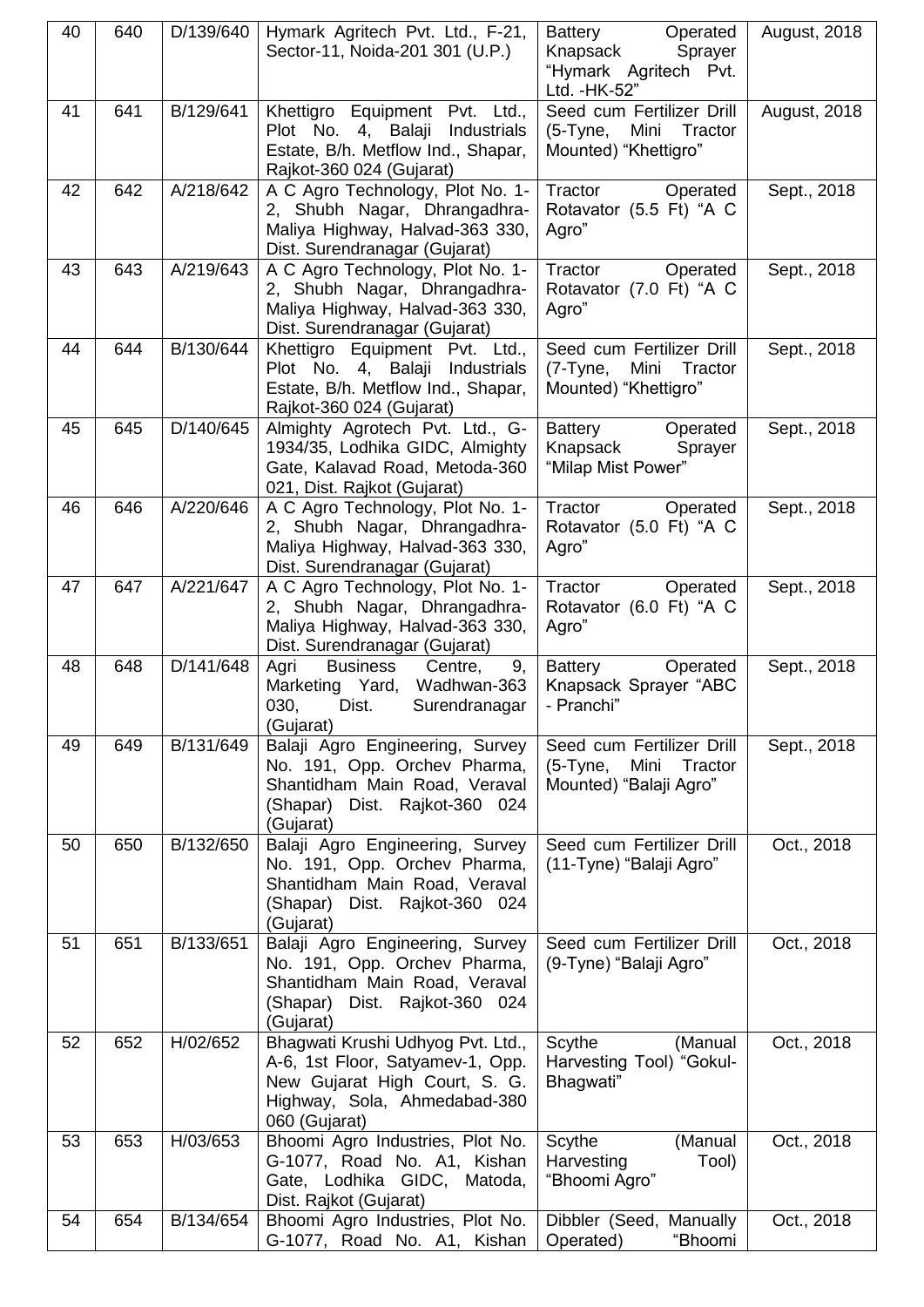| 40 | 640 | D/139/640 | Hymark Agritech Pvt. Ltd., F-21,<br>Sector-11, Noida-201 301 (U.P.)                                                                                     | Battery<br>Operated<br>Knapsack<br>Sprayer<br>"Hymark Agritech Pvt.<br>Ltd. - HK-52" | <b>August, 2018</b> |
|----|-----|-----------|---------------------------------------------------------------------------------------------------------------------------------------------------------|--------------------------------------------------------------------------------------|---------------------|
| 41 | 641 | B/129/641 | Khettigro Equipment Pvt. Ltd.,<br>Plot No. 4, Balaji<br>Industrials<br>Estate, B/h. Metflow Ind., Shapar,<br>Rajkot-360 024 (Gujarat)                   | Seed cum Fertilizer Drill<br>Mini Tractor<br>(5-Tyne,<br>Mounted) "Khettigro"        | <b>August, 2018</b> |
| 42 | 642 | A/218/642 | A C Agro Technology, Plot No. 1-<br>2, Shubh Nagar, Dhrangadhra-<br>Maliya Highway, Halvad-363 330,<br>Dist. Surendranagar (Gujarat)                    | Tractor<br>Operated<br>Rotavator (5.5 Ft) "A C<br>Agro"                              | Sept., 2018         |
| 43 | 643 | A/219/643 | A C Agro Technology, Plot No. 1-<br>2, Shubh Nagar, Dhrangadhra-<br>Maliya Highway, Halvad-363 330,<br>Dist. Surendranagar (Gujarat)                    | Tractor<br>Operated<br>Rotavator (7.0 Ft) "A C<br>Agro"                              | Sept., 2018         |
| 44 | 644 | B/130/644 | Khettigro Equipment Pvt. Ltd.,<br>Plot No. 4, Balaji<br>Industrials<br>Estate, B/h. Metflow Ind., Shapar,<br>Rajkot-360 024 (Gujarat)                   | Seed cum Fertilizer Drill<br>$(7-Tyne,$<br>Mini Tractor<br>Mounted) "Khettigro"      | Sept., 2018         |
| 45 | 645 | D/140/645 | Almighty Agrotech Pvt. Ltd., G-<br>1934/35, Lodhika GIDC, Almighty<br>Gate, Kalavad Road, Metoda-360<br>021, Dist. Rajkot (Gujarat)                     | Battery<br>Operated<br>Knapsack<br>Sprayer<br>"Milap Mist Power"                     | Sept., 2018         |
| 46 | 646 | A/220/646 | A C Agro Technology, Plot No. 1-<br>2, Shubh Nagar, Dhrangadhra-<br>Maliya Highway, Halvad-363 330,<br>Dist. Surendranagar (Gujarat)                    | Tractor<br>Operated<br>Rotavator (5.0 Ft) "A C<br>Agro"                              | Sept., 2018         |
| 47 | 647 | A/221/647 | A C Agro Technology, Plot No. 1-<br>2, Shubh Nagar, Dhrangadhra-<br>Maliya Highway, Halvad-363 330,<br>Dist. Surendranagar (Gujarat)                    | Tractor<br>Operated<br>Rotavator (6.0 Ft) "A C<br>Agro"                              | Sept., 2018         |
| 48 | 648 | D/141/648 | <b>Business</b><br>Agri<br>Centre,<br>9,<br>Marketing Yard, Wadhwan-363<br>030,<br>Dist.<br>Surendranagar<br>(Gujarat)                                  | Operated<br><b>Battery</b><br>Knapsack Sprayer "ABC<br>- Pranchi"                    | Sept., 2018         |
| 49 | 649 | B/131/649 | Balaji Agro Engineering, Survey<br>No. 191, Opp. Orchev Pharma,<br>Shantidham Main Road, Veraval<br>(Shapar) Dist. Rajkot-360 024<br>(Gujarat)          | Seed cum Fertilizer Drill<br>Mini<br>Tractor<br>$(5-Tyne,$<br>Mounted) "Balaji Agro" | Sept., 2018         |
| 50 | 650 | B/132/650 | Balaji Agro Engineering, Survey<br>No. 191, Opp. Orchev Pharma,<br>Shantidham Main Road, Veraval<br>(Shapar) Dist. Rajkot-360 024<br>(Gujarat)          | Seed cum Fertilizer Drill<br>(11-Tyne) "Balaji Agro"                                 | Oct., 2018          |
| 51 | 651 | B/133/651 | Balaji Agro Engineering, Survey<br>No. 191, Opp. Orchev Pharma,<br>Shantidham Main Road, Veraval<br>(Shapar) Dist. Rajkot-360 024<br>(Gujarat)          | Seed cum Fertilizer Drill<br>(9-Tyne) "Balaji Agro"                                  | Oct., 2018          |
| 52 | 652 | H/02/652  | Bhagwati Krushi Udhyog Pvt. Ltd.,<br>A-6, 1st Floor, Satyamev-1, Opp.<br>New Gujarat High Court, S. G.<br>Highway, Sola, Ahmedabad-380<br>060 (Gujarat) | Scythe<br>(Manual<br>Harvesting Tool) "Gokul-<br>Bhagwati"                           | Oct., 2018          |
| 53 | 653 | H/03/653  | Bhoomi Agro Industries, Plot No.<br>G-1077, Road No. A1, Kishan<br>Gate, Lodhika GIDC,<br>Matoda,<br>Dist. Rajkot (Gujarat)                             | Scythe<br>(Manual<br>Harvesting<br>Tool)<br>"Bhoomi Agro"                            | Oct., 2018          |
| 54 | 654 | B/134/654 | Bhoomi Agro Industries, Plot No.<br>G-1077, Road No. A1, Kishan                                                                                         | Dibbler (Seed, Manually<br>"Bhoomi<br>Operated)                                      | Oct., 2018          |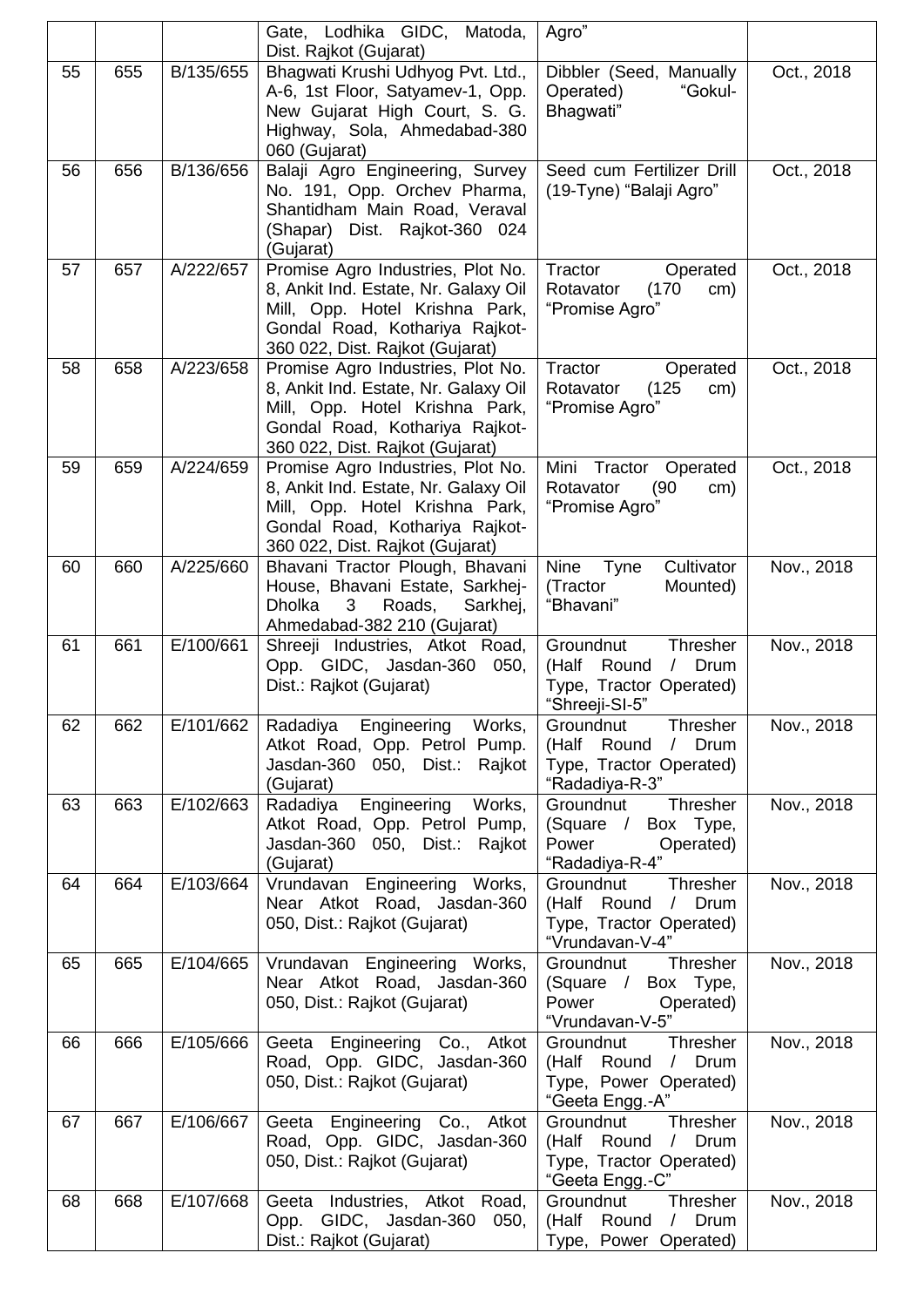|    |     |           | Gate, Lodhika GIDC, Matoda,<br>Dist. Rajkot (Gujarat)                                                                                                                            | Agro"                                                                                                             |            |
|----|-----|-----------|----------------------------------------------------------------------------------------------------------------------------------------------------------------------------------|-------------------------------------------------------------------------------------------------------------------|------------|
| 55 | 655 | B/135/655 | Bhagwati Krushi Udhyog Pvt. Ltd.,<br>A-6, 1st Floor, Satyamev-1, Opp.<br>New Gujarat High Court, S. G.<br>Highway, Sola, Ahmedabad-380<br>060 (Gujarat)                          | Dibbler (Seed, Manually<br>Operated)<br>"Gokul-<br>Bhagwati"                                                      | Oct., 2018 |
| 56 | 656 | B/136/656 | Balaji Agro Engineering, Survey<br>No. 191, Opp. Orchev Pharma,<br>Shantidham Main Road, Veraval<br>(Shapar) Dist. Rajkot-360 024<br>(Gujarat)                                   | Seed cum Fertilizer Drill<br>(19-Tyne) "Balaji Agro"                                                              | Oct., 2018 |
| 57 | 657 | A/222/657 | Promise Agro Industries, Plot No.<br>8, Ankit Ind. Estate, Nr. Galaxy Oil<br>Mill, Opp. Hotel Krishna Park,<br>Gondal Road, Kothariya Rajkot-<br>360 022, Dist. Rajkot (Gujarat) | Tractor<br>Operated<br>Rotavator<br>(170)<br>cm)<br>"Promise Agro"                                                | Oct., 2018 |
| 58 | 658 | A/223/658 | Promise Agro Industries, Plot No.<br>8, Ankit Ind. Estate, Nr. Galaxy Oil<br>Mill, Opp. Hotel Krishna Park,<br>Gondal Road, Kothariya Rajkot-<br>360 022, Dist. Rajkot (Gujarat) | Tractor<br>Operated<br>Rotavator<br>(125)<br>cm)<br>"Promise Agro"                                                | Oct., 2018 |
| 59 | 659 | A/224/659 | Promise Agro Industries, Plot No.<br>8, Ankit Ind. Estate, Nr. Galaxy Oil<br>Mill, Opp. Hotel Krishna Park,<br>Gondal Road, Kothariya Rajkot-<br>360 022, Dist. Rajkot (Gujarat) | Mini<br>Tractor Operated<br>Rotavator<br>(90)<br>cm)<br>"Promise Agro"                                            | Oct., 2018 |
| 60 | 660 | A/225/660 | Bhavani Tractor Plough, Bhavani<br>House, Bhavani Estate, Sarkhej-<br><b>Dholka</b><br>3<br>Roads,<br>Sarkhej,<br>Ahmedabad-382 210 (Gujarat)                                    | <b>Nine</b><br>Cultivator<br><b>Tyne</b><br>(Tractor<br>Mounted)<br>"Bhavani"                                     | Nov., 2018 |
| 61 | 661 | E/100/661 | Shreeji Industries, Atkot Road,<br>Opp. GIDC, Jasdan-360<br>050,<br>Dist.: Rajkot (Gujarat)                                                                                      | Groundnut<br>Thresher<br>Round<br>/ Drum<br>(Half<br>Type, Tractor Operated)<br>"Shreeji-SI-5"                    | Nov., 2018 |
| 62 | 662 | E/101/662 | Radadiya<br>Engineering<br>Works,<br>Atkot Road, Opp. Petrol Pump.<br>Jasdan-360 050, Dist.: Rajkot<br>(Gujarat)                                                                 | Groundnut<br><b>Thresher</b><br>(Half<br>Round<br>Drum<br>$\sqrt{2}$<br>Type, Tractor Operated)<br>"Radadiya-R-3" | Nov., 2018 |
| 63 | 663 | E/102/663 | Engineering<br>Works,<br>Radadiya<br>Atkot Road, Opp. Petrol Pump,<br>Jasdan-360 050, Dist.:<br>Rajkot<br>(Gujarat)                                                              | Thresher<br>Groundnut<br>(Square / Box Type,<br>Power<br>Operated)<br>"Radadiya-R-4"                              | Nov., 2018 |
| 64 | 664 | E/103/664 | Vrundavan Engineering Works,<br>Near Atkot Road, Jasdan-360<br>050, Dist.: Rajkot (Gujarat)                                                                                      | Groundnut<br>Thresher<br>(Half Round<br>/ Drum<br>Type, Tractor Operated)<br>"Vrundavan-V-4"                      | Nov., 2018 |
| 65 | 665 | E/104/665 | Vrundavan Engineering Works,<br>Near Atkot Road, Jasdan-360<br>050, Dist.: Rajkot (Gujarat)                                                                                      | Groundnut<br>Thresher<br>(Square / Box Type,<br>Power<br>Operated)<br>"Vrundavan-V-5"                             | Nov., 2018 |
| 66 | 666 | E/105/666 | Geeta Engineering Co., Atkot<br>Road, Opp. GIDC, Jasdan-360<br>050, Dist.: Rajkot (Gujarat)                                                                                      | Groundnut<br>Thresher<br>(Half Round<br>Drum<br>$\sqrt{2}$<br>Type, Power Operated)<br>"Geeta Engg.-A"            | Nov., 2018 |
| 67 | 667 | E/106/667 | Geeta Engineering Co., Atkot<br>Road, Opp. GIDC, Jasdan-360<br>050, Dist.: Rajkot (Gujarat)                                                                                      | Thresher<br>Groundnut<br>Round<br>/ Drum<br>(Half<br>Type, Tractor Operated)<br>"Geeta Engg.-C"                   | Nov., 2018 |
| 68 | 668 | E/107/668 | Geeta Industries, Atkot Road,<br>Opp. GIDC, Jasdan-360<br>050,<br>Dist.: Rajkot (Gujarat)                                                                                        | Thresher<br>Groundnut<br>(Half Round / Drum<br>Type, Power Operated)                                              | Nov., 2018 |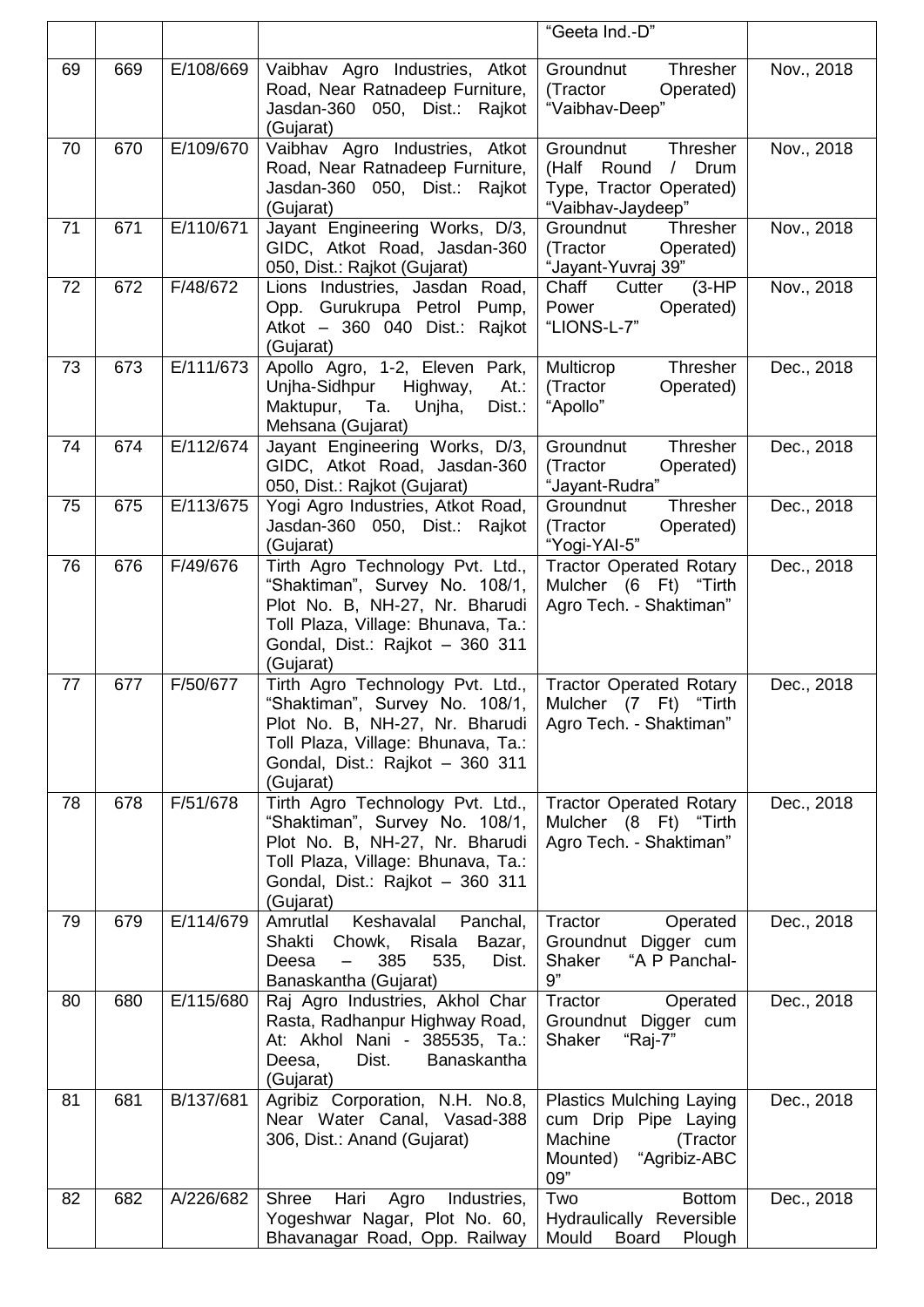|    |     |           |                                                                                                                                                                                            | "Geeta Ind.-D"                                                                                                    |            |
|----|-----|-----------|--------------------------------------------------------------------------------------------------------------------------------------------------------------------------------------------|-------------------------------------------------------------------------------------------------------------------|------------|
| 69 | 669 | E/108/669 | Vaibhav Agro Industries, Atkot<br>Road, Near Ratnadeep Furniture,<br>Jasdan-360 050, Dist.: Rajkot<br>(Gujarat)                                                                            | Groundnut<br>Thresher<br>Operated)<br>(Tractor<br>"Vaibhav-Deep"                                                  | Nov., 2018 |
| 70 | 670 | E/109/670 | Vaibhav Agro Industries, Atkot<br>Road, Near Ratnadeep Furniture,<br>Jasdan-360 050, Dist.: Rajkot<br>(Gujarat)                                                                            | Groundnut<br>Thresher<br>(Half Round<br>/ Drum<br>Type, Tractor Operated)<br>"Vaibhav-Jaydeep"                    | Nov., 2018 |
| 71 | 671 | E/110/671 | Jayant Engineering Works, D/3,<br>GIDC, Atkot Road, Jasdan-360<br>050, Dist.: Rajkot (Gujarat)                                                                                             | Thresher<br>Groundnut<br>(Tractor<br>Operated)<br>"Jayant-Yuvraj 39"                                              | Nov., 2018 |
| 72 | 672 | F/48/672  | Lions Industries, Jasdan Road,<br>Opp. Gurukrupa Petrol Pump,<br>Atkot - 360 040 Dist.: Rajkot<br>(Gujarat)                                                                                | Chaff<br>$(3-HP)$<br>Cutter<br>Power<br>Operated)<br>"LIONS-L-7"                                                  | Nov., 2018 |
| 73 | 673 | E/111/673 | Apollo Agro, 1-2, Eleven Park,<br>Unjha-Sidhpur<br>Highway,<br>At.<br>Maktupur, Ta.<br>Unjha,<br>Dist.:<br>Mehsana (Gujarat)                                                               | Thresher<br>Multicrop<br>Operated)<br>(Tractor<br>"Apollo"                                                        | Dec., 2018 |
| 74 | 674 | E/112/674 | Jayant Engineering Works, D/3,<br>GIDC, Atkot Road, Jasdan-360<br>050, Dist.: Rajkot (Gujarat)                                                                                             | Groundnut<br>Thresher<br>(Tractor<br>Operated)<br>"Jayant-Rudra"                                                  | Dec., 2018 |
| 75 | 675 | E/113/675 | Yogi Agro Industries, Atkot Road,<br>Jasdan-360 050, Dist.: Rajkot<br>(Gujarat)                                                                                                            | Thresher<br>Groundnut<br>(Tractor<br>Operated)<br>"Yogi-YAI-5"                                                    | Dec., 2018 |
| 76 | 676 | F/49/676  | Tirth Agro Technology Pvt. Ltd.,<br>"Shaktiman", Survey No. 108/1,<br>Plot No. B, NH-27, Nr. Bharudi<br>Toll Plaza, Village: Bhunava, Ta.:<br>Gondal, Dist.: Rajkot - 360 311<br>(Gujarat) | <b>Tractor Operated Rotary</b><br>Mulcher (6 Ft) "Tirth<br>Agro Tech. - Shaktiman"                                | Dec., 2018 |
| 77 | 677 | F/50/677  | Tirth Agro Technology Pvt. Ltd.,<br>"Shaktiman", Survey No. 108/1,<br>Plot No. B, NH-27, Nr. Bharudi<br>Toll Plaza, Village: Bhunava, Ta.:<br>Gondal, Dist.: Rajkot - 360 311<br>(Gujarat) | <b>Tractor Operated Rotary</b><br>Mulcher (7 Ft)<br>"Tirth<br>Agro Tech. - Shaktiman"                             | Dec., 2018 |
| 78 | 678 | F/51/678  | Tirth Agro Technology Pvt. Ltd.,<br>"Shaktiman", Survey No. 108/1,<br>Plot No. B, NH-27, Nr. Bharudi<br>Toll Plaza, Village: Bhunava, Ta.:<br>Gondal, Dist.: Rajkot - 360 311<br>(Gujarat) | <b>Tractor Operated Rotary</b><br>Mulcher (8 Ft) "Tirth<br>Agro Tech. - Shaktiman"                                | Dec., 2018 |
| 79 | 679 | E/114/679 | Amrutlal<br>Keshavalal<br>Panchal,<br>Shakti Chowk, Risala<br>Bazar,<br>385<br>535,<br>Deesa<br>Dist.<br>Banaskantha (Gujarat)                                                             | Tractor<br>Operated<br>Groundnut Digger cum<br>"A P Panchal-<br>Shaker<br>9"                                      | Dec., 2018 |
| 80 | 680 | E/115/680 | Raj Agro Industries, Akhol Char<br>Rasta, Radhanpur Highway Road,<br>At: Akhol Nani - 385535, Ta.:<br>Dist.<br>Deesa,<br>Banaskantha<br>(Gujarat)                                          | Tractor<br>Operated<br>Groundnut Digger cum<br>"Raj-7"<br>Shaker                                                  | Dec., 2018 |
| 81 | 681 | B/137/681 | Agribiz Corporation, N.H. No.8,<br>Near Water Canal, Vasad-388<br>306, Dist.: Anand (Gujarat)                                                                                              | <b>Plastics Mulching Laying</b><br>cum Drip Pipe Laying<br>Machine<br>(Tractor<br>"Agribiz-ABC<br>Mounted)<br>09" | Dec., 2018 |
| 82 | 682 | A/226/682 | Shree<br>Hari<br>Agro Industries,<br>Yogeshwar Nagar, Plot No. 60,<br>Bhavanagar Road, Opp. Railway                                                                                        | Two<br><b>Bottom</b><br>Hydraulically Reversible<br>Mould Board<br>Plough                                         | Dec., 2018 |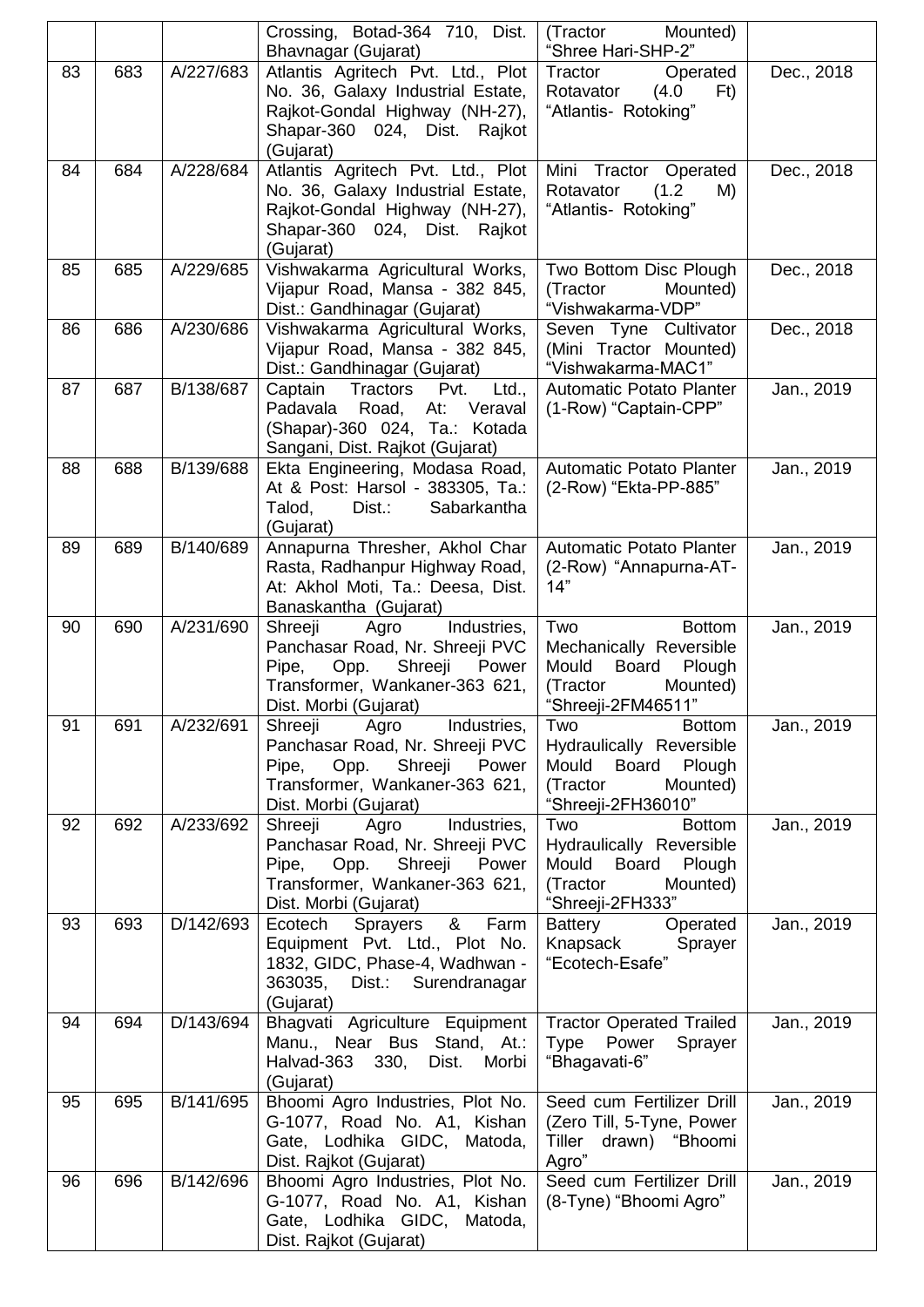|    |     |           | Crossing, Botad-364 710, Dist.<br>Bhavnagar (Gujarat)                                                                                                              | (Tractor<br>Mounted)<br>"Shree Hari-SHP-2"                                                                                |            |
|----|-----|-----------|--------------------------------------------------------------------------------------------------------------------------------------------------------------------|---------------------------------------------------------------------------------------------------------------------------|------------|
| 83 | 683 | A/227/683 | Atlantis Agritech Pvt. Ltd., Plot<br>No. 36, Galaxy Industrial Estate,<br>Rajkot-Gondal Highway (NH-27),<br>Shapar-360 024, Dist. Rajkot                           | Tractor<br>Operated<br>Rotavator<br>(4.0)<br>Ft)<br>"Atlantis- Rotoking"                                                  | Dec., 2018 |
| 84 | 684 | A/228/684 | (Gujarat)<br>Atlantis Agritech Pvt. Ltd., Plot<br>No. 36, Galaxy Industrial Estate,<br>Rajkot-Gondal Highway (NH-27),<br>Shapar-360 024, Dist. Rajkot<br>(Gujarat) | Mini Tractor Operated<br>Rotavator<br>(1.2)<br>M)<br>"Atlantis- Rotoking"                                                 | Dec., 2018 |
| 85 | 685 | A/229/685 | Vishwakarma Agricultural Works,<br>Vijapur Road, Mansa - 382 845,<br>Dist.: Gandhinagar (Gujarat)                                                                  | Two Bottom Disc Plough<br>(Tractor<br>Mounted)<br>"Vishwakarma-VDP"                                                       | Dec., 2018 |
| 86 | 686 | A/230/686 | Vishwakarma Agricultural Works,<br>Vijapur Road, Mansa - 382 845,<br>Dist.: Gandhinagar (Gujarat)                                                                  | Seven Tyne Cultivator<br>(Mini Tractor Mounted)<br>"Vishwakarma-MAC1"                                                     | Dec., 2018 |
| 87 | 687 | B/138/687 | Captain<br>Tractors<br>Pvt.<br>Ltd.,<br>Padavala<br>Road,<br>At:<br>Veraval<br>(Shapar)-360 024, Ta.: Kotada<br>Sangani, Dist. Rajkot (Gujarat)                    | <b>Automatic Potato Planter</b><br>(1-Row) "Captain-CPP"                                                                  | Jan., 2019 |
| 88 | 688 | B/139/688 | Ekta Engineering, Modasa Road,<br>At & Post: Harsol - 383305, Ta.:<br>Dist.:<br>Sabarkantha<br>Talod,<br>(Gujarat)                                                 | Automatic Potato Planter<br>(2-Row) "Ekta-PP-885"                                                                         | Jan., 2019 |
| 89 | 689 | B/140/689 | Annapurna Thresher, Akhol Char<br>Rasta, Radhanpur Highway Road,<br>At: Akhol Moti, Ta.: Deesa, Dist.<br>Banaskantha (Gujarat)                                     | <b>Automatic Potato Planter</b><br>(2-Row) "Annapurna-AT-<br>14"                                                          | Jan., 2019 |
| 90 | 690 | A/231/690 | Agro<br>Industries,<br>Shreeji<br>Panchasar Road, Nr. Shreeji PVC<br>Shreeji<br>Pipe,<br>Opp.<br>Power<br>Transformer, Wankaner-363 621,<br>Dist. Morbi (Gujarat)  | Two<br><b>Bottom</b><br>Mechanically Reversible<br>Mould<br>Board<br>Plough<br>(Tractor<br>Mounted)<br>"Shreeji-2FM46511" | Jan., 2019 |
| 91 | 691 | A/232/691 | Shreeji Agro<br>Industries,<br>Panchasar Road, Nr. Shreeji PVC<br>Shreeji Power<br>Pipe,<br>Opp.<br>Transformer, Wankaner-363 621,<br>Dist. Morbi (Gujarat)        | Two<br><b>Bottom</b><br>Hydraulically Reversible<br>Mould Board Plough<br>(Tractor<br>Mounted)<br>"Shreeji-2FH36010"      | Jan., 2019 |
| 92 | 692 | A/233/692 | Shreeji<br>Agro<br>Industries,<br>Panchasar Road, Nr. Shreeji PVC<br>Shreeji Power<br>Pipe,<br>Opp.<br>Transformer, Wankaner-363 621,<br>Dist. Morbi (Gujarat)     | Two<br><b>Bottom</b><br>Hydraulically Reversible<br>Mould Board<br>Plough<br>Mounted)<br>(Tractor<br>"Shreeji-2FH333"     | Jan., 2019 |
| 93 | 693 | D/142/693 | &<br>Ecotech<br>Sprayers<br>Farm<br>Equipment Pvt. Ltd., Plot No.<br>1832, GIDC, Phase-4, Wadhwan -<br>363035, Dist.: Surendranagar<br>(Gujarat)                   | Operated<br>Battery<br>Knapsack<br>Sprayer<br>"Ecotech-Esafe"                                                             | Jan., 2019 |
| 94 | 694 | D/143/694 | Bhagvati Agriculture Equipment<br>Manu., Near Bus Stand, At.:<br>Halvad-363 330,<br>Dist.<br>Morbi<br>(Gujarat)                                                    | <b>Tractor Operated Trailed</b><br>Type Power<br>Sprayer<br>"Bhagavati-6"                                                 | Jan., 2019 |
| 95 | 695 | B/141/695 | Bhoomi Agro Industries, Plot No.<br>G-1077, Road No. A1, Kishan<br>Gate, Lodhika GIDC, Matoda,<br>Dist. Rajkot (Gujarat)                                           | Seed cum Fertilizer Drill<br>(Zero Till, 5-Tyne, Power<br>Tiller<br>drawn) "Bhoomi<br>Agro"                               | Jan., 2019 |
| 96 | 696 | B/142/696 | Bhoomi Agro Industries, Plot No.<br>G-1077, Road No. A1, Kishan<br>Gate, Lodhika GIDC, Matoda,<br>Dist. Rajkot (Gujarat)                                           | Seed cum Fertilizer Drill<br>(8-Tyne) "Bhoomi Agro"                                                                       | Jan., 2019 |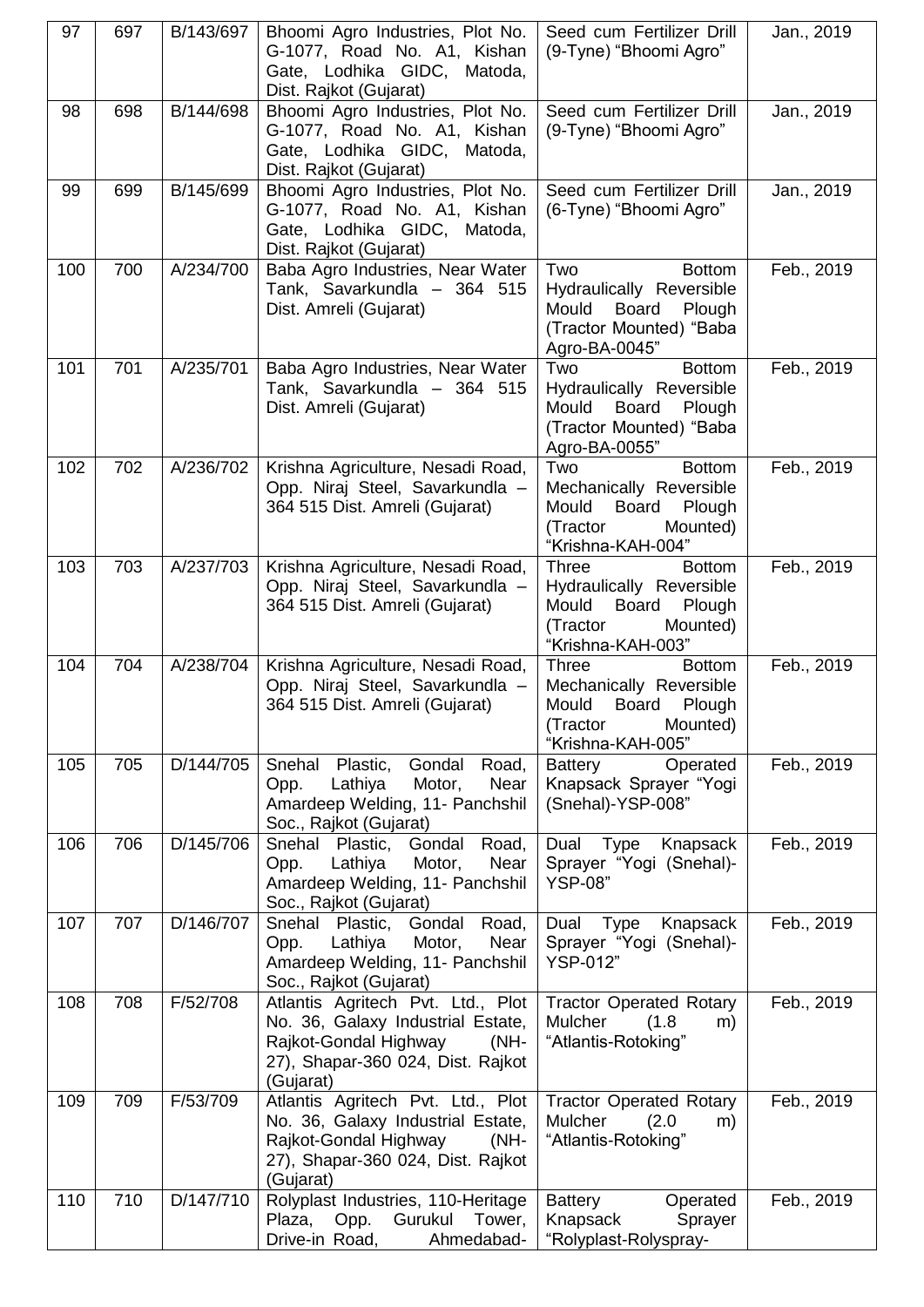| 97  | 697 | B/143/697 | Bhoomi Agro Industries, Plot No.<br>G-1077, Road No. A1, Kishan<br>Gate, Lodhika GIDC, Matoda,<br>Dist. Rajkot (Gujarat)                                     | Seed cum Fertilizer Drill<br>(9-Tyne) "Bhoomi Agro"                                                                                | Jan., 2019 |
|-----|-----|-----------|--------------------------------------------------------------------------------------------------------------------------------------------------------------|------------------------------------------------------------------------------------------------------------------------------------|------------|
| 98  | 698 | B/144/698 | Bhoomi Agro Industries, Plot No.<br>G-1077, Road No. A1, Kishan<br>Gate, Lodhika GIDC, Matoda,<br>Dist. Rajkot (Gujarat)                                     | Seed cum Fertilizer Drill<br>(9-Tyne) "Bhoomi Agro"                                                                                | Jan., 2019 |
| 99  | 699 | B/145/699 | Bhoomi Agro Industries, Plot No.<br>G-1077, Road No. A1, Kishan<br>Gate, Lodhika GIDC, Matoda,<br>Dist. Rajkot (Gujarat)                                     | Seed cum Fertilizer Drill<br>(6-Tyne) "Bhoomi Agro"                                                                                | Jan., 2019 |
| 100 | 700 | A/234/700 | Baba Agro Industries, Near Water<br>Tank, Savarkundla - 364 515<br>Dist. Amreli (Gujarat)                                                                    | Two<br><b>Bottom</b><br>Hydraulically Reversible<br>Mould<br>Board<br>Plough<br>(Tractor Mounted) "Baba<br>Agro-BA-0045"           | Feb., 2019 |
| 101 | 701 | A/235/701 | Baba Agro Industries, Near Water<br>Tank, Savarkundla - 364 515<br>Dist. Amreli (Gujarat)                                                                    | Two<br><b>Bottom</b><br>Hydraulically Reversible<br>Mould<br><b>Board</b><br>Plough<br>(Tractor Mounted) "Baba<br>Agro-BA-0055"    | Feb., 2019 |
| 102 | 702 | A/236/702 | Krishna Agriculture, Nesadi Road,<br>Opp. Niraj Steel, Savarkundla -<br>364 515 Dist. Amreli (Gujarat)                                                       | Two<br><b>Bottom</b><br>Mechanically Reversible<br>Board<br>Mould<br>Plough<br>(Tractor<br>Mounted)<br>"Krishna-KAH-004"           | Feb., 2019 |
| 103 | 703 | A/237/703 | Krishna Agriculture, Nesadi Road,<br>Opp. Niraj Steel, Savarkundla -<br>364 515 Dist. Amreli (Gujarat)                                                       | <b>Three</b><br><b>Bottom</b><br>Hydraulically Reversible<br>Mould<br>Board<br>Plough<br>(Tractor<br>Mounted)<br>"Krishna-KAH-003" | Feb., 2019 |
| 104 | 704 | A/238/704 | Krishna Agriculture, Nesadi Road,<br>Opp. Niraj Steel, Savarkundla -<br>364 515 Dist. Amreli (Gujarat)                                                       | <b>Bottom</b><br><b>Three</b><br>Mechanically Reversible<br>Mould<br>Board<br>Plough<br>(Tractor<br>Mounted)<br>"Krishna-KAH-005"  | Feb., 2019 |
| 105 | 705 | D/144/705 | Snehal<br>Plastic,<br>Gondal<br>Road,<br>Lathiya<br>Opp.<br>Motor,<br>Near<br>Amardeep Welding, 11- Panchshil<br>Soc., Rajkot (Gujarat)                      | <b>Battery</b><br>Operated<br>Knapsack Sprayer "Yogi<br>(Snehal)-YSP-008"                                                          | Feb., 2019 |
| 106 | 706 | D/145/706 | Plastic,<br>Gondal<br>Snehal<br>Road,<br>Lathiya<br>Motor,<br>Near<br>Opp.<br>Amardeep Welding, 11- Panchshil<br>Soc., Rajkot (Gujarat)                      | Type<br>Knapsack<br>Dual<br>Sprayer "Yogi (Snehal)-<br><b>YSP-08</b> "                                                             | Feb., 2019 |
| 107 | 707 | D/146/707 | Snehal Plastic,<br>Gondal Road,<br>Lathiya<br>Motor,<br>Near<br>Opp.<br>Amardeep Welding, 11- Panchshil<br>Soc., Rajkot (Gujarat)                            | Dual Type<br>Knapsack<br>Sprayer "Yogi (Snehal)-<br><b>YSP-012"</b>                                                                | Feb., 2019 |
| 108 | 708 | F/52/708  | Atlantis Agritech Pvt. Ltd., Plot<br>No. 36, Galaxy Industrial Estate,<br>Rajkot-Gondal Highway<br>$(MH -$<br>27), Shapar-360 024, Dist. Rajkot<br>(Gujarat) | <b>Tractor Operated Rotary</b><br><b>Mulcher</b><br>(1.8)<br>m)<br>"Atlantis-Rotoking"                                             | Feb., 2019 |
| 109 | 709 | F/53/709  | Atlantis Agritech Pvt. Ltd., Plot<br>No. 36, Galaxy Industrial Estate,<br>Rajkot-Gondal Highway<br>$(MH -$<br>27), Shapar-360 024, Dist. Rajkot<br>(Gujarat) | <b>Tractor Operated Rotary</b><br>Mulcher<br>(2.0)<br>m)<br>"Atlantis-Rotoking"                                                    | Feb., 2019 |
| 110 | 710 | D/147/710 | Rolyplast Industries, 110-Heritage<br>Plaza, Opp. Gurukul<br>Tower,<br>Drive-in Road,<br>Ahmedabad-                                                          | <b>Battery</b><br>Operated<br>Knapsack<br>Sprayer<br>"Rolyplast-Rolyspray-                                                         | Feb., 2019 |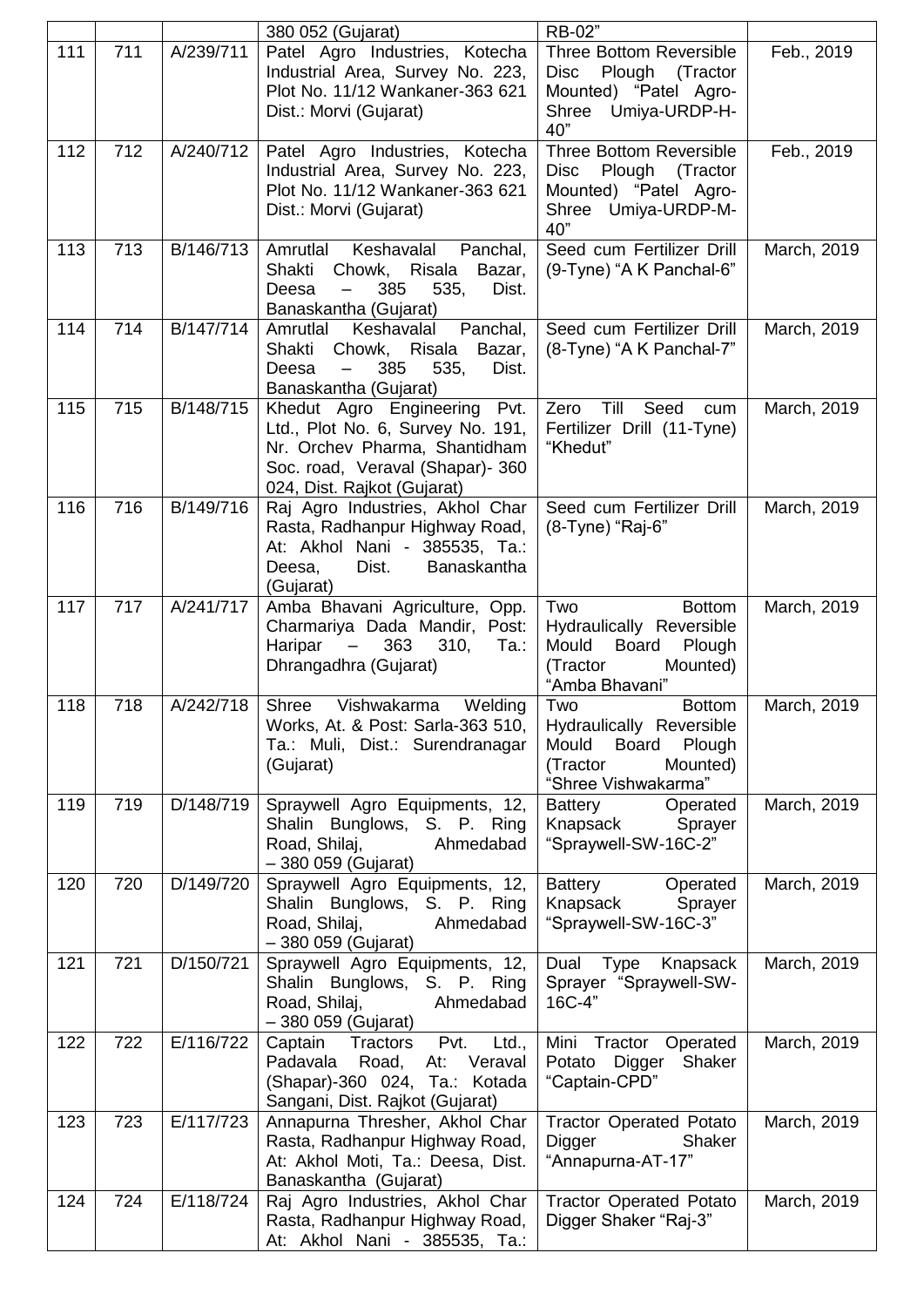|     |     |           | 380 052 (Gujarat)                                                                                                                                                        | RB-02"                                                                                                                      |             |
|-----|-----|-----------|--------------------------------------------------------------------------------------------------------------------------------------------------------------------------|-----------------------------------------------------------------------------------------------------------------------------|-------------|
| 111 | 711 | A/239/711 | Patel Agro Industries, Kotecha<br>Industrial Area, Survey No. 223,<br>Plot No. 11/12 Wankaner-363 621<br>Dist.: Morvi (Gujarat)                                          | <b>Three Bottom Reversible</b><br><b>Disc</b><br>Plough<br>(Tractor<br>Mounted) "Patel Agro-<br>Shree Umiya-URDP-H-<br>40"  | Feb., 2019  |
| 112 | 712 | A/240/712 | Patel Agro Industries, Kotecha<br>Industrial Area, Survey No. 223,<br>Plot No. 11/12 Wankaner-363 621<br>Dist.: Morvi (Gujarat)                                          | <b>Three Bottom Reversible</b><br>Plough (Tractor<br><b>Disc</b><br>Mounted) "Patel Agro-<br>Shree Umiya-URDP-M-<br>40"     | Feb., 2019  |
| 113 | 713 | B/146/713 | Amrutlal<br>Keshavalal<br>Panchal,<br>Shakti<br>Risala<br>Chowk,<br>Bazar,<br>Deesa<br>385<br>535,<br>Dist.<br>$\overline{\phantom{0}}$<br>Banaskantha (Gujarat)         | Seed cum Fertilizer Drill<br>(9-Tyne) "A K Panchal-6"                                                                       | March, 2019 |
| 114 | 714 | B/147/714 | Panchal,<br>Amrutlal<br>Keshavalal<br>Shakti<br>Risala<br>Chowk,<br>Bazar,<br>385<br>Deesa<br>535,<br>Dist.<br>Banaskantha (Gujarat)                                     | Seed cum Fertilizer Drill<br>(8-Tyne) "A K Panchal-7"                                                                       | March, 2019 |
| 115 | 715 | B/148/715 | Khedut Agro Engineering<br>Pvt.<br>Ltd., Plot No. 6, Survey No. 191,<br>Nr. Orchev Pharma, Shantidham<br>Soc. road, Veraval (Shapar)- 360<br>024, Dist. Rajkot (Gujarat) | Till<br>Zero<br>Seed<br>cum<br>Fertilizer Drill (11-Tyne)<br>"Khedut"                                                       | March, 2019 |
| 116 | 716 | B/149/716 | Raj Agro Industries, Akhol Char<br>Rasta, Radhanpur Highway Road,<br>At: Akhol Nani - 385535, Ta.:<br>Deesa,<br>Dist.<br>Banaskantha<br>(Gujarat)                        | Seed cum Fertilizer Drill<br>(8-Tyne) "Raj-6"                                                                               | March, 2019 |
| 117 | 717 | A/241/717 | Amba Bhavani Agriculture, Opp.<br>Charmariya Dada Mandir, Post:<br>363<br>Haripar<br>$\overline{\phantom{0}}$<br>310,<br>Ta.:<br>Dhrangadhra (Gujarat)                   | Two<br><b>Bottom</b><br>Hydraulically Reversible<br>Mould<br>Board<br>Plough<br>Mounted)<br>(Tractor<br>"Amba Bhavani"      | March, 2019 |
| 118 | 718 | A/242/718 | Shree<br>Vishwakarma<br>Welding<br>Works, At. & Post: Sarla-363 510,<br>Ta.: Muli, Dist.: Surendranagar<br>(Gujarat)                                                     | <b>Bottom</b><br>Two<br>Hydraulically Reversible<br>Board<br>Mould<br>Plough<br>(Tractor<br>Mounted)<br>"Shree Vishwakarma" | March, 2019 |
| 119 | 719 | D/148/719 | Spraywell Agro Equipments, 12,<br>Shalin Bunglows, S. P. Ring<br>Road, Shilaj,<br>Ahmedabad<br>- 380 059 (Gujarat)                                                       | <b>Battery</b><br>Operated<br>Knapsack<br>Sprayer<br>"Spraywell-SW-16C-2"                                                   | March, 2019 |
| 120 | 720 | D/149/720 | Spraywell Agro Equipments, 12,<br>Shalin Bunglows, S. P. Ring<br>Road, Shilaj,<br>Ahmedabad<br>- 380 059 (Gujarat)                                                       | Battery<br>Operated<br>Knapsack<br>Sprayer<br>"Spraywell-SW-16C-3"                                                          | March, 2019 |
| 121 | 721 | D/150/721 | Spraywell Agro Equipments, 12,<br>Shalin Bunglows, S. P. Ring<br>Road, Shilaj,<br>Ahmedabad<br>- 380 059 (Gujarat)                                                       | Type Knapsack<br>Dual<br>Sprayer "Spraywell-SW-<br>16C-4"                                                                   | March, 2019 |
| 122 | 722 | E/116/722 | Pvt.<br>Captain<br>Tractors<br>Ltd.,<br>Padavala Road,<br>At:<br>Veraval<br>(Shapar)-360 024, Ta.: Kotada<br>Sangani, Dist. Rajkot (Gujarat)                             | Mini Tractor Operated<br>Shaker<br>Potato Digger<br>"Captain-CPD"                                                           | March, 2019 |
| 123 | 723 | E/117/723 | Annapurna Thresher, Akhol Char<br>Rasta, Radhanpur Highway Road,<br>At: Akhol Moti, Ta.: Deesa, Dist.<br>Banaskantha (Gujarat)                                           | <b>Tractor Operated Potato</b><br>Digger<br>Shaker<br>"Annapurna-AT-17"                                                     | March, 2019 |
| 124 | 724 | E/118/724 | Raj Agro Industries, Akhol Char<br>Rasta, Radhanpur Highway Road,<br>At: Akhol Nani - 385535, Ta.:                                                                       | <b>Tractor Operated Potato</b><br>Digger Shaker "Raj-3"                                                                     | March, 2019 |